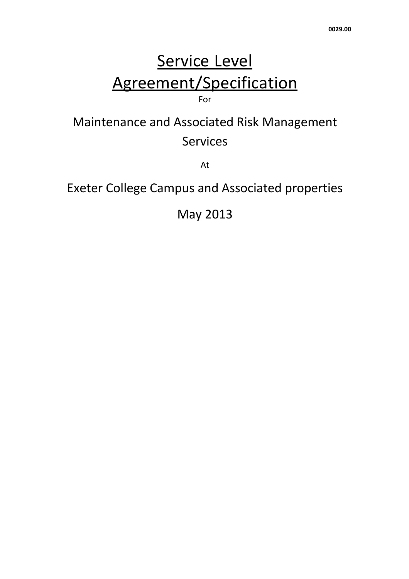# Service Level Agreement/Specification For

# Maintenance and Associated Risk Management Services

At

# Exeter College Campus and Associated properties

May 2013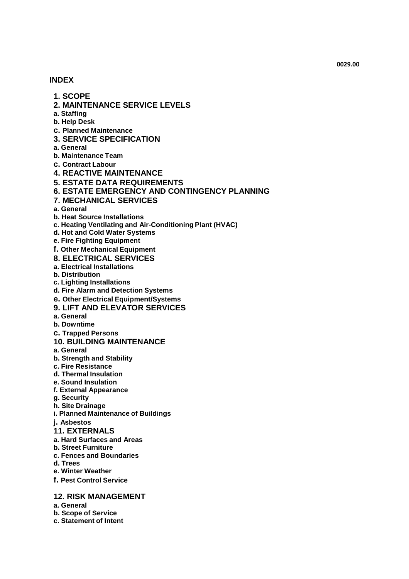#### **INDEX**

- **1. SCOPE**
- **2. MAINTENANCE SERVICE LEVELS**
- **a. Staffing**
- **b. Help Desk**
- **c. Planned Maintenance**
- **3. SERVICE SPECIFICATION**
- **a. General**
- **b. Maintenance Team**
- **c. Contract Labour**
- **4. REACTIVE MAINTENANCE**
- **5. ESTATE DATA REQUIREMENTS**
- **6. ESTATE EMERGENCY AND CONTINGENCY PLANNING**
- **7. MECHANICAL SERVICES**
- **a. General**
- **b. Heat Source Installations**
- **c. Heating Ventilating and Air-Conditioning Plant (HVAC)**
- **d. Hot and Cold Water Systems**
- **e. Fire Fighting Equipment**
- **f. Other Mechanical Equipment**
- **8. ELECTRICAL SERVICES**
- **a. Electrical Installations**
- **b. Distribution**
- **c. Lighting Installations**
- **d. Fire Alarm and Detection Systems**
- **e. Other Electrical Equipment/Systems**
- **9. LIFT AND ELEVATOR SERVICES**
- **a. General**
- **b. Downtime**
- **c. Trapped Persons**

#### **10. BUILDING MAINTENANCE**

- **a. General**
- **b. Strength and Stability**
- **c. Fire Resistance**
- **d. Thermal Insulation**
- **e. Sound Insulation**
- **f. External Appearance**
- **g. Security**
- **h. Site Drainage**
- **i. Planned Maintenance of Buildings**
- **j. Asbestos**
- **11. EXTERNALS**
- **a. Hard Surfaces and Areas**
- **b. Street Furniture**
- **c. Fences and Boundaries**
- **d. Trees**
- **e. Winter Weather**
- **f. Pest Control Service**

#### **12. RISK MANAGEMENT**

- **a. General**
- **b. Scope of Service**
- **c. Statement of Intent**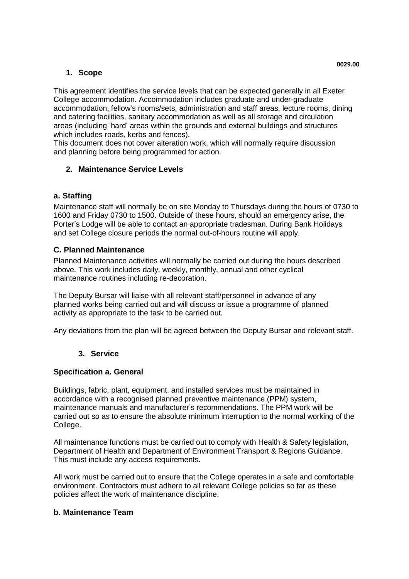# **1. Scope**

This agreement identifies the service levels that can be expected generally in all Exeter College accommodation. Accommodation includes graduate and under-graduate accommodation, fellow's rooms/sets, administration and staff areas, lecture rooms, dining and catering facilities, sanitary accommodation as well as all storage and circulation areas (including 'hard' areas within the grounds and external buildings and structures which includes roads, kerbs and fences).

This document does not cover alteration work, which will normally require discussion and planning before being programmed for action.

# **2. Maintenance Service Levels**

# **a. Staffing**

Maintenance staff will normally be on site Monday to Thursdays during the hours of 0730 to 1600 and Friday 0730 to 1500. Outside of these hours, should an emergency arise, the Porter's Lodge will be able to contact an appropriate tradesman. During Bank Holidays and set College closure periods the normal out-of-hours routine will apply.

# **C. Planned Maintenance**

Planned Maintenance activities will normally be carried out during the hours described above. This work includes daily, weekly, monthly, annual and other cyclical maintenance routines including re-decoration.

The Deputy Bursar will liaise with all relevant staff/personnel in advance of any planned works being carried out and will discuss or issue a programme of planned activity as appropriate to the task to be carried out.

Any deviations from the plan will be agreed between the Deputy Bursar and relevant staff.

# **3. Service**

# **Specification a. General**

Buildings, fabric, plant, equipment, and installed services must be maintained in accordance with a recognised planned preventive maintenance (PPM) system, maintenance manuals and manufacturer's recommendations. The PPM work will be carried out so as to ensure the absolute minimum interruption to the normal working of the College.

All maintenance functions must be carried out to comply with Health & Safety legislation, Department of Health and Department of Environment Transport & Regions Guidance. This must include any access requirements.

All work must be carried out to ensure that the College operates in a safe and comfortable environment. Contractors must adhere to all relevant College policies so far as these policies affect the work of maintenance discipline.

# **b. Maintenance Team**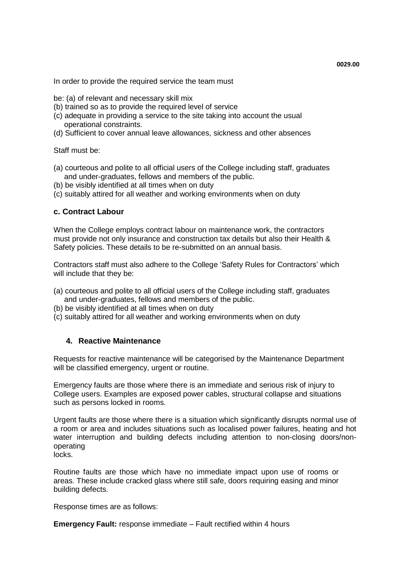In order to provide the required service the team must

- be: (a) of relevant and necessary skill mix
- (b) trained so as to provide the required level of service
- (c) adequate in providing a service to the site taking into account the usual operational constraints.
- (d) Sufficient to cover annual leave allowances, sickness and other absences

Staff must be:

- (a) courteous and polite to all official users of the College including staff, graduates and under-graduates, fellows and members of the public.
- (b) be visibly identified at all times when on duty
- (c) suitably attired for all weather and working environments when on duty

## **c. Contract Labour**

When the College employs contract labour on maintenance work, the contractors must provide not only insurance and construction tax details but also their Health & Safety policies. These details to be re-submitted on an annual basis.

Contractors staff must also adhere to the College 'Safety Rules for Contractors' which will include that they be:

- (a) courteous and polite to all official users of the College including staff, graduates and under-graduates, fellows and members of the public.
- (b) be visibly identified at all times when on duty
- (c) suitably attired for all weather and working environments when on duty

## **4. Reactive Maintenance**

Requests for reactive maintenance will be categorised by the Maintenance Department will be classified emergency, urgent or routine.

Emergency faults are those where there is an immediate and serious risk of injury to College users. Examples are exposed power cables, structural collapse and situations such as persons locked in rooms.

Urgent faults are those where there is a situation which significantly disrupts normal use of a room or area and includes situations such as localised power failures, heating and hot water interruption and building defects including attention to non-closing doors/nonoperating

locks.

Routine faults are those which have no immediate impact upon use of rooms or areas. These include cracked glass where still safe, doors requiring easing and minor building defects.

Response times are as follows:

**Emergency Fault:** response immediate – Fault rectified within 4 hours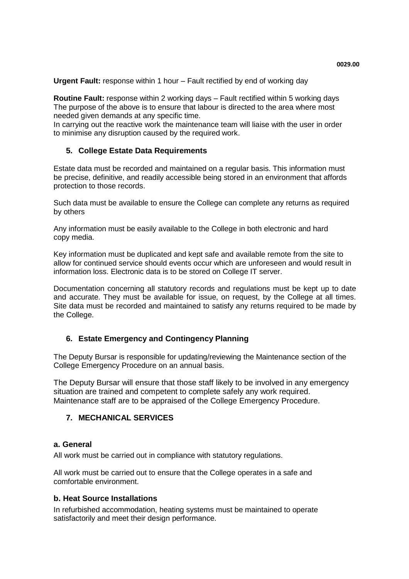**Routine Fault:** response within 2 working days – Fault rectified within 5 working days The purpose of the above is to ensure that labour is directed to the area where most needed given demands at any specific time.

In carrying out the reactive work the maintenance team will liaise with the user in order to minimise any disruption caused by the required work.

# **5. College Estate Data Requirements**

Estate data must be recorded and maintained on a regular basis. This information must be precise, definitive, and readily accessible being stored in an environment that affords protection to those records.

Such data must be available to ensure the College can complete any returns as required by others

Any information must be easily available to the College in both electronic and hard copy media.

Key information must be duplicated and kept safe and available remote from the site to allow for continued service should events occur which are unforeseen and would result in information loss. Electronic data is to be stored on College IT server.

Documentation concerning all statutory records and regulations must be kept up to date and accurate. They must be available for issue, on request, by the College at all times. Site data must be recorded and maintained to satisfy any returns required to be made by the College.

# **6. Estate Emergency and Contingency Planning**

The Deputy Bursar is responsible for updating/reviewing the Maintenance section of the College Emergency Procedure on an annual basis.

The Deputy Bursar will ensure that those staff likely to be involved in any emergency situation are trained and competent to complete safely any work required. Maintenance staff are to be appraised of the College Emergency Procedure.

# **7. MECHANICAL SERVICES**

## **a. General**

All work must be carried out in compliance with statutory regulations.

All work must be carried out to ensure that the College operates in a safe and comfortable environment.

## **b. Heat Source Installations**

In refurbished accommodation, heating systems must be maintained to operate satisfactorily and meet their design performance.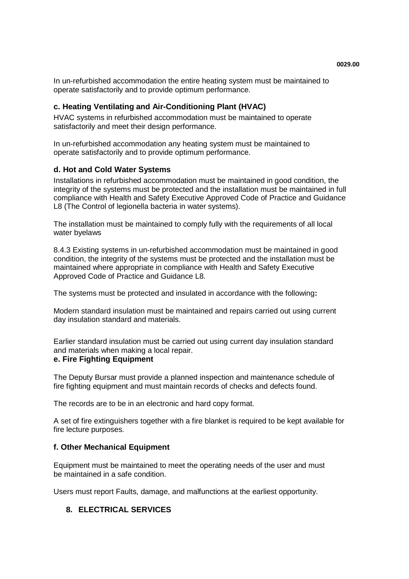In un-refurbished accommodation the entire heating system must be maintained to operate satisfactorily and to provide optimum performance.

# **c. Heating Ventilating and Air-Conditioning Plant (HVAC)**

HVAC systems in refurbished accommodation must be maintained to operate satisfactorily and meet their design performance.

In un-refurbished accommodation any heating system must be maintained to operate satisfactorily and to provide optimum performance.

## **d. Hot and Cold Water Systems**

Installations in refurbished accommodation must be maintained in good condition, the integrity of the systems must be protected and the installation must be maintained in full compliance with Health and Safety Executive Approved Code of Practice and Guidance L8 (The Control of legionella bacteria in water systems).

The installation must be maintained to comply fully with the requirements of all local water byelaws

8.4.3 Existing systems in un-refurbished accommodation must be maintained in good condition, the integrity of the systems must be protected and the installation must be maintained where appropriate in compliance with Health and Safety Executive Approved Code of Practice and Guidance L8.

The systems must be protected and insulated in accordance with the following**:**

Modern standard insulation must be maintained and repairs carried out using current day insulation standard and materials.

Earlier standard insulation must be carried out using current day insulation standard and materials when making a local repair.

## **e. Fire Fighting Equipment**

The Deputy Bursar must provide a planned inspection and maintenance schedule of fire fighting equipment and must maintain records of checks and defects found.

The records are to be in an electronic and hard copy format.

A set of fire extinguishers together with a fire blanket is required to be kept available for fire lecture purposes.

## **f. Other Mechanical Equipment**

Equipment must be maintained to meet the operating needs of the user and must be maintained in a safe condition.

Users must report Faults, damage, and malfunctions at the earliest opportunity.

# **8. ELECTRICAL SERVICES**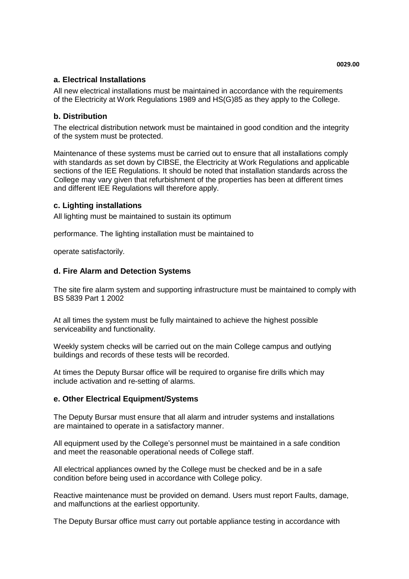# **a. Electrical Installations**

All new electrical installations must be maintained in accordance with the requirements of the Electricity at Work Regulations 1989 and HS(G)85 as they apply to the College.

# **b. Distribution**

The electrical distribution network must be maintained in good condition and the integrity of the system must be protected.

Maintenance of these systems must be carried out to ensure that all installations comply with standards as set down by CIBSE, the Electricity at Work Regulations and applicable sections of the IEE Regulations. It should be noted that installation standards across the College may vary given that refurbishment of the properties has been at different times and different IEE Regulations will therefore apply.

## **c. Lighting installations**

All lighting must be maintained to sustain its optimum

performance. The lighting installation must be maintained to

operate satisfactorily.

## **d. Fire Alarm and Detection Systems**

The site fire alarm system and supporting infrastructure must be maintained to comply with BS 5839 Part 1 2002

At all times the system must be fully maintained to achieve the highest possible serviceability and functionality.

Weekly system checks will be carried out on the main College campus and outlying buildings and records of these tests will be recorded.

At times the Deputy Bursar office will be required to organise fire drills which may include activation and re-setting of alarms.

## **e. Other Electrical Equipment/Systems**

The Deputy Bursar must ensure that all alarm and intruder systems and installations are maintained to operate in a satisfactory manner.

All equipment used by the College's personnel must be maintained in a safe condition and meet the reasonable operational needs of College staff.

All electrical appliances owned by the College must be checked and be in a safe condition before being used in accordance with College policy.

Reactive maintenance must be provided on demand. Users must report Faults, damage, and malfunctions at the earliest opportunity.

The Deputy Bursar office must carry out portable appliance testing in accordance with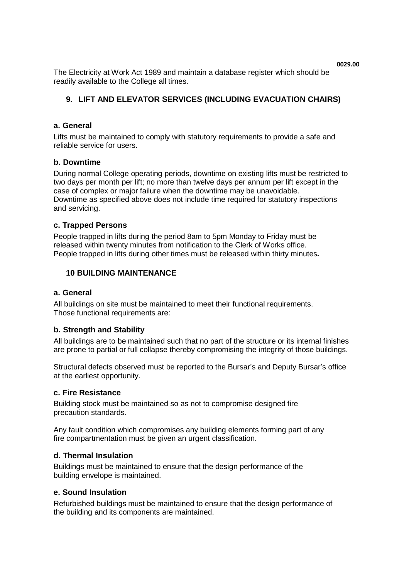The Electricity at Work Act 1989 and maintain a database register which should be readily available to the College all times.

# **9. LIFT AND ELEVATOR SERVICES (INCLUDING EVACUATION CHAIRS)**

## **a. General**

Lifts must be maintained to comply with statutory requirements to provide a safe and reliable service for users.

## **b. Downtime**

During normal College operating periods, downtime on existing lifts must be restricted to two days per month per lift; no more than twelve days per annum per lift except in the case of complex or major failure when the downtime may be unavoidable. Downtime as specified above does not include time required for statutory inspections and servicing.

### **c. Trapped Persons**

People trapped in lifts during the period 8am to 5pm Monday to Friday must be released within twenty minutes from notification to the Clerk of Works office. People trapped in lifts during other times must be released within thirty minutes*.*

# **10 BUILDING MAINTENANCE**

#### **a. General**

All buildings on site must be maintained to meet their functional requirements. Those functional requirements are:

## **b. Strength and Stability**

All buildings are to be maintained such that no part of the structure or its internal finishes are prone to partial or full collapse thereby compromising the integrity of those buildings.

Structural defects observed must be reported to the Bursar's and Deputy Bursar's office at the earliest opportunity.

### **c. Fire Resistance**

Building stock must be maintained so as not to compromise designed fire precaution standards.

Any fault condition which compromises any building elements forming part of any fire compartmentation must be given an urgent classification.

#### **d. Thermal Insulation**

Buildings must be maintained to ensure that the design performance of the building envelope is maintained.

#### **e. Sound Insulation**

Refurbished buildings must be maintained to ensure that the design performance of the building and its components are maintained.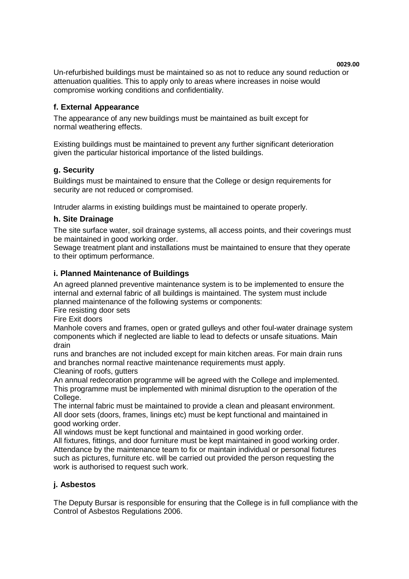Un-refurbished buildings must be maintained so as not to reduce any sound reduction or attenuation qualities. This to apply only to areas where increases in noise would compromise working conditions and confidentiality.

# **f. External Appearance**

The appearance of any new buildings must be maintained as built except for normal weathering effects.

Existing buildings must be maintained to prevent any further significant deterioration given the particular historical importance of the listed buildings.

## **g. Security**

Buildings must be maintained to ensure that the College or design requirements for security are not reduced or compromised.

Intruder alarms in existing buildings must be maintained to operate properly.

# **h. Site Drainage**

The site surface water, soil drainage systems, all access points, and their coverings must be maintained in good working order.

Sewage treatment plant and installations must be maintained to ensure that they operate to their optimum performance.

## **i. Planned Maintenance of Buildings**

An agreed planned preventive maintenance system is to be implemented to ensure the internal and external fabric of all buildings is maintained. The system must include planned maintenance of the following systems or components:

Fire resisting door sets

Fire Exit doors

Manhole covers and frames, open or grated gulleys and other foul-water drainage system components which if neglected are liable to lead to defects or unsafe situations. Main drain

runs and branches are not included except for main kitchen areas. For main drain runs and branches normal reactive maintenance requirements must apply.

Cleaning of roofs, gutters

An annual redecoration programme will be agreed with the College and implemented. This programme must be implemented with minimal disruption to the operation of the College.

The internal fabric must be maintained to provide a clean and pleasant environment. All door sets (doors, frames, linings etc) must be kept functional and maintained in good working order.

All windows must be kept functional and maintained in good working order.

All fixtures, fittings, and door furniture must be kept maintained in good working order. Attendance by the maintenance team to fix or maintain individual or personal fixtures such as pictures, furniture etc. will be carried out provided the person requesting the work is authorised to request such work.

## **j. Asbestos**

The Deputy Bursar is responsible for ensuring that the College is in full compliance with the Control of Asbestos Regulations 2006.

**0029.00**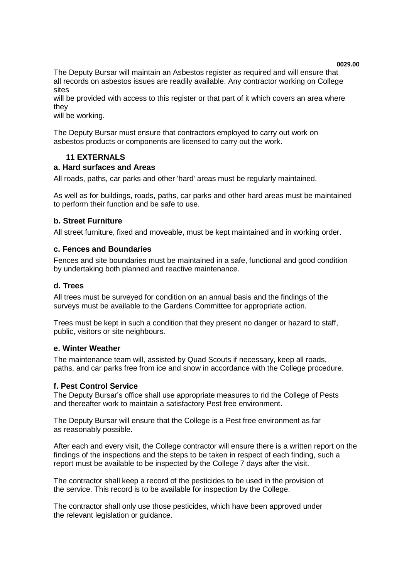The Deputy Bursar will maintain an Asbestos register as required and will ensure that all records on asbestos issues are readily available. Any contractor working on College sites

will be provided with access to this register or that part of it which covers an area where they

will be working.

The Deputy Bursar must ensure that contractors employed to carry out work on asbestos products or components are licensed to carry out the work.

# **11 EXTERNALS**

### **a. Hard surfaces and Areas**

All roads, paths, car parks and other 'hard' areas must be regularly maintained.

As well as for buildings, roads, paths, car parks and other hard areas must be maintained to perform their function and be safe to use.

## **b. Street Furniture**

All street furniture, fixed and moveable, must be kept maintained and in working order.

### **c. Fences and Boundaries**

Fences and site boundaries must be maintained in a safe, functional and good condition by undertaking both planned and reactive maintenance.

### **d. Trees**

All trees must be surveyed for condition on an annual basis and the findings of the surveys must be available to the Gardens Committee for appropriate action.

Trees must be kept in such a condition that they present no danger or hazard to staff, public, visitors or site neighbours.

#### **e. Winter Weather**

The maintenance team will, assisted by Quad Scouts if necessary, keep all roads, paths, and car parks free from ice and snow in accordance with the College procedure.

#### **f. Pest Control Service**

The Deputy Bursar's office shall use appropriate measures to rid the College of Pests and thereafter work to maintain a satisfactory Pest free environment.

The Deputy Bursar will ensure that the College is a Pest free environment as far as reasonably possible.

After each and every visit, the College contractor will ensure there is a written report on the findings of the inspections and the steps to be taken in respect of each finding, such a report must be available to be inspected by the College 7 days after the visit.

The contractor shall keep a record of the pesticides to be used in the provision of the service. This record is to be available for inspection by the College.

The contractor shall only use those pesticides, which have been approved under the relevant legislation or guidance.